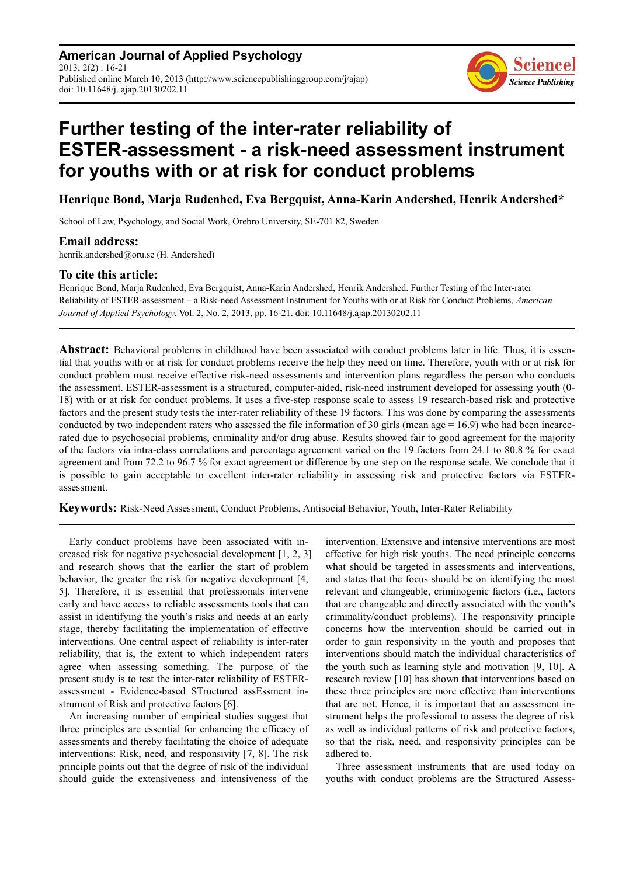**American Journal of Applied Psychology**  $2013$ ;  $2(2)$  : 16-21 Published online March 10, 2013 (http://www.sciencepublishinggroup.com/j/ajap) doi: 10.11648/j. ajap.20130202.11



# **Further testing of the inter-rater reliability of ESTER-assessment - a risk-need assessment instrument for youths with or at risk for conduct problems**

### **Henrique Bond, Marja Rudenhed, Eva Bergquist, Anna-Karin Andershed, Henrik Andershed\***

School of Law, Psychology, and Social Work, Örebro University, SE-701 82, Sweden

#### **Email address:**

henrik.andershed@oru.se (H. Andershed)

#### **To cite this article:**

Henrique Bond, Marja Rudenhed, Eva Bergquist, Anna-Karin Andershed, Henrik Andershed. Further Testing of the Inter-rater Reliability of ESTER-assessment – a Risk-need Assessment Instrument for Youths with or at Risk for Conduct Problems, *American Journal of Applied Psychology*. Vol. 2, No. 2, 2013, pp. 16-21. doi: 10.11648/j.ajap.20130202.11

**Abstract:** Behavioral problems in childhood have been associated with conduct problems later in life. Thus, it is essential that youths with or at risk for conduct problems receive the help they need on time. Therefore, youth with or at risk for conduct problem must receive effective risk-need assessments and intervention plans regardless the person who conducts the assessment. ESTER-assessment is a structured, computer-aided, risk-need instrument developed for assessing youth (0- 18) with or at risk for conduct problems. It uses a five-step response scale to assess 19 research-based risk and protective factors and the present study tests the inter-rater reliability of these 19 factors. This was done by comparing the assessments conducted by two independent raters who assessed the file information of 30 girls (mean age  $= 16.9$ ) who had been incarcerated due to psychosocial problems, criminality and/or drug abuse. Results showed fair to good agreement for the majority of the factors via intra-class correlations and percentage agreement varied on the 19 factors from 24.1 to 80.8 % for exact agreement and from 72.2 to 96.7 % for exact agreement or difference by one step on the response scale. We conclude that it is possible to gain acceptable to excellent inter-rater reliability in assessing risk and protective factors via ESTERassessment.

**Keywords:** Risk-Need Assessment, Conduct Problems, Antisocial Behavior, Youth, Inter-Rater Reliability

Early conduct problems have been associated with increased risk for negative psychosocial development [1, 2, 3] and research shows that the earlier the start of problem behavior, the greater the risk for negative development [4, 5]. Therefore, it is essential that professionals intervene early and have access to reliable assessments tools that can assist in identifying the youth's risks and needs at an early stage, thereby facilitating the implementation of effective interventions. One central aspect of reliability is inter-rater reliability, that is, the extent to which independent raters agree when assessing something. The purpose of the present study is to test the inter-rater reliability of ESTERassessment - Evidence-based STructured assEssment instrument of Risk and protective factors [6].

An increasing number of empirical studies suggest that three principles are essential for enhancing the efficacy of assessments and thereby facilitating the choice of adequate interventions: Risk, need, and responsivity [7, 8]. The risk principle points out that the degree of risk of the individual should guide the extensiveness and intensiveness of the

intervention. Extensive and intensive interventions are most effective for high risk youths. The need principle concerns what should be targeted in assessments and interventions, and states that the focus should be on identifying the most relevant and changeable, criminogenic factors (i.e., factors that are changeable and directly associated with the youth's criminality/conduct problems). The responsivity principle concerns how the intervention should be carried out in order to gain responsivity in the youth and proposes that interventions should match the individual characteristics of the youth such as learning style and motivation [9, 10]. A research review [10] has shown that interventions based on these three principles are more effective than interventions that are not. Hence, it is important that an assessment instrument helps the professional to assess the degree of risk as well as individual patterns of risk and protective factors, so that the risk, need, and responsivity principles can be adhered to.

Three assessment instruments that are used today on youths with conduct problems are the Structured Assess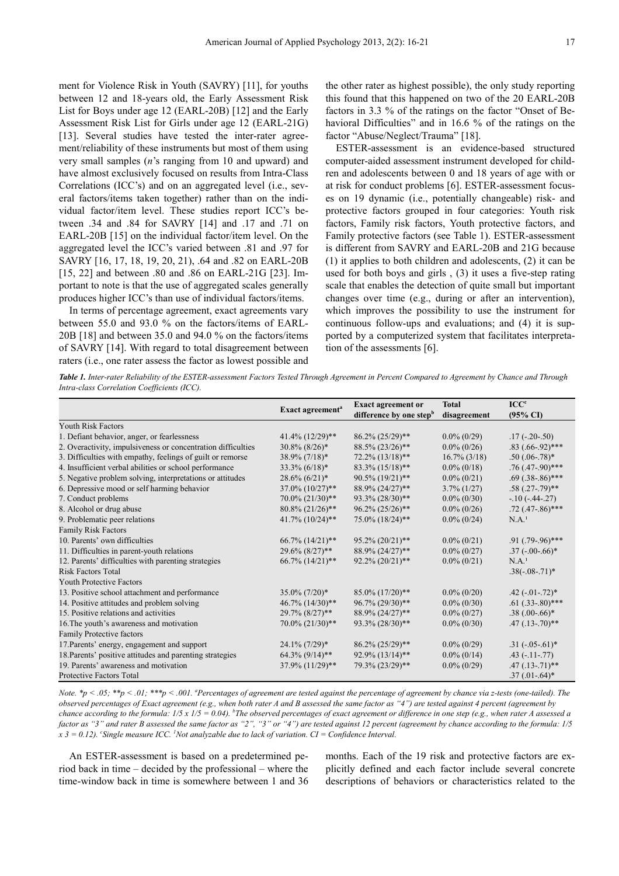ment for Violence Risk in Youth (SAVRY) [11], for youths between 12 and 18-years old, the Early Assessment Risk List for Boys under age 12 (EARL-20B) [12] and the Early Assessment Risk List for Girls under age 12 (EARL-21G) [13]. Several studies have tested the inter-rater agreement/reliability of these instruments but most of them using very small samples (*n*'s ranging from 10 and upward) and have almost exclusively focused on results from Intra-Class Correlations (ICC's) and on an aggregated level (i.e., several factors/items taken together) rather than on the individual factor/item level. These studies report ICC's between .34 and .84 for SAVRY [14] and .17 and .71 on EARL-20B [15] on the individual factor/item level. On the aggregated level the ICC's varied between .81 and .97 for SAVRY [16, 17, 18, 19, 20, 21), .64 and .82 on EARL-20B [15, 22] and between .80 and .86 on EARL-21G [23]. Important to note is that the use of aggregated scales generally produces higher ICC's than use of individual factors/items.

In terms of percentage agreement, exact agreements vary between 55.0 and 93.0 % on the factors/items of EARL-20B [18] and between 35.0 and 94.0 % on the factors/items of SAVRY [14]. With regard to total disagreement between raters (i.e., one rater assess the factor as lowest possible and the other rater as highest possible), the only study reporting this found that this happened on two of the 20 EARL-20B factors in 3.3 % of the ratings on the factor "Onset of Behavioral Difficulties" and in 16.6 % of the ratings on the factor "Abuse/Neglect/Trauma" [18].

ESTER-assessment is an evidence-based structured computer-aided assessment instrument developed for children and adolescents between 0 and 18 years of age with or at risk for conduct problems [6]. ESTER-assessment focuses on 19 dynamic (i.e., potentially changeable) risk- and protective factors grouped in four categories: Youth risk factors, Family risk factors, Youth protective factors, and Family protective factors (see Table 1). ESTER-assessment is different from SAVRY and EARL-20B and 21G because (1) it applies to both children and adolescents, (2) it can be used for both boys and girls , (3) it uses a five-step rating scale that enables the detection of quite small but important changes over time (e.g., during or after an intervention), which improves the possibility to use the instrument for continuous follow-ups and evaluations; and (4) it is supported by a computerized system that facilitates interpretation of the assessments [6].

*Table 1. Inter-rater Reliability of the ESTER-assessment Factors Tested Through Agreement in Percent Compared to Agreement by Chance and Through Intra-class Correlation Coefficients (ICC).* 

|                                                              | Exact agreement <sup>a</sup>     | <b>Exact agreement or</b>           | <b>Total</b>    | $\text{ICC}^{\text{c}}$ |
|--------------------------------------------------------------|----------------------------------|-------------------------------------|-----------------|-------------------------|
|                                                              |                                  | difference by one step <sup>b</sup> | disagreement    | $(95\% \text{ CI})$     |
| <b>Youth Risk Factors</b>                                    |                                  |                                     |                 |                         |
| 1. Defiant behavior, anger, or fearlessness                  | $41.4\%$ (12/29)**               | 86.2% (25/29)**                     | $0.0\%$ (0/29)  | $.17(-.20-.50)$         |
| 2. Overactivity, impulsiveness or concentration difficulties | $30.8\%$ $(8/26)*$               | 88.5% (23/26)**                     | $0.0\%$ (0/26)  | $.83$ (.66-.92)***      |
| 3. Difficulties with empathy, feelings of guilt or remorse   | $38.9\% (7/18)*$                 | $72.2\%$ $(13/18)**$                | $16.7\%$ (3/18) | $.50(.06-.78)*$         |
| 4. Insufficient verbal abilities or school performance       | $33.3\%$ (6/18)*                 | $83.3\%$ $(15/18)*$                 | $0.0\%$ (0/18)  | $.76$ (.47-.90)***      |
| 5. Negative problem solving, interpretations or attitudes    | $28.6\%$ $(6/21)$ <sup>*</sup>   | 90.5% (19/21)**                     | $0.0\%$ (0/21)  | $.69$ $(.38-.86)$ ***   |
| 6. Depressive mood or self harming behavior                  | $37.0\%$ $(10/27)$ **            | 88.9% (24/27)**                     | $3.7\%$ (1/27)  | $.58(.27-.79)$ **       |
| 7. Conduct problems                                          | $70.0\%$ $(21/30)**$             | $93.3\% (28/30)$ **                 | $0.0\%$ (0/30)  | $-10(-.44-0.27)$        |
| 8. Alcohol or drug abuse                                     | $80.8\%$ (21/26)**               | $96.2\% (25/26)$ **                 | $0.0\%$ (0/26)  | $.72$ (.47-.86)***      |
| 9. Problematic peer relations                                | $41.7\%$ $(10/24)$ **            | $75.0\%$ $(18/24)$ **               | $0.0\%$ (0/24)  | N.A <sup>1</sup>        |
| <b>Family Risk Factors</b>                                   |                                  |                                     |                 |                         |
| 10. Parents' own difficulties                                | $66.7\%$ $(14/21)$ <sup>**</sup> | $95.2\% (20/21)$ **                 | $0.0\%$ (0/21)  | $.91(.79-.96)$ ***      |
| 11. Difficulties in parent-youth relations                   | $29.6\%$ $(8/27)**$              | 88.9% (24/27)**                     | $0.0\%$ (0/27)  | $.37$ (-.00-.66)*       |
| 12. Parents' difficulties with parenting strategies          | $66.7\%$ $(14/21)$ <sup>**</sup> | $92.2\% (20/21)$ **                 | $0.0\%$ (0/21)  | N.A. <sup>1</sup>       |
| <b>Risk Factors Total</b>                                    |                                  |                                     |                 | $.38(-.08-.71)*$        |
| <b>Youth Protective Factors</b>                              |                                  |                                     |                 |                         |
| 13. Positive school attachment and performance               | $35.0\% (7/20)*$                 | $85.0\%$ $(17/20)*$                 | $0.0\%$ (0/20)  | $.42$ ( $-.01-.72$ )*   |
| 14. Positive attitudes and problem solving                   | $46.7\% (14/30)$ **              | 96.7% (29/30)**                     | $0.0\%$ (0/30)  | $.61$ $(.33-.80)$ ***   |
| 15. Positive relations and activities                        | 29.7% $(8/27)$ **                | 88.9% (24/27)**                     | $0.0\%$ (0/27)  | $.38(.00-.66)*$         |
| 16. The youth's awareness and motivation                     | $70.0\%$ $(21/30)**$             | 93.3% (28/30)**                     | $0.0\%$ (0/30)  | $.47(.13-.70)$ **       |
| <b>Family Protective factors</b>                             |                                  |                                     |                 |                         |
| 17. Parents' energy, engagement and support                  | $24.1\% (7/29)*$                 | 86.2% (25/29)**                     | $0.0\%$ (0/29)  | $.31 (-.05 - .61)^*$    |
| 18. Parents' positive attitudes and parenting strategies     | $64.3\%$ $(9/14)**$              | $92.9\%$ $(13/14)$ **               | $0.0\%$ (0/14)  | $.43$ ( $-.11-.77$ )    |
| 19. Parents' awareness and motivation                        | 37.9% (11/29)**                  | 79.3% (23/29)**                     | $0.0\%$ (0/29)  | $.47(.13-.71)$ **       |
| Protective Factors Total                                     |                                  |                                     |                 | $.37(.01-.64)*$         |

*Note. \*p* < .05; \*\*p < .01; \*\*\*p < .001. *\*Percentages of agreement are tested against the percentage of agreement by chance via z-tests (one-tailed). The observed percentages of Exact agreement (e.g., when both rater A and B assessed the same factor as "4") are tested against 4 percent (agreement by chance according to the formula: 1/5 x 1/5 = 0.04). <sup>b</sup> The observed percentages of exact agreement or difference in one step (e.g., when rater A assessed a factor as "3" and rater B assessed the same factor as "2", "3" or "4") are tested against 12 percent (agreement by chance according to the formula: 1/5 x 3 = 0.12). <sup>c</sup> Single measure ICC. <sup>1</sup>Not analyzable due to lack of variation. CI = Confidence Interval.* 

An ESTER-assessment is based on a predetermined period back in time – decided by the professional – where the time-window back in time is somewhere between 1 and 36

months. Each of the 19 risk and protective factors are explicitly defined and each factor include several concrete descriptions of behaviors or characteristics related to the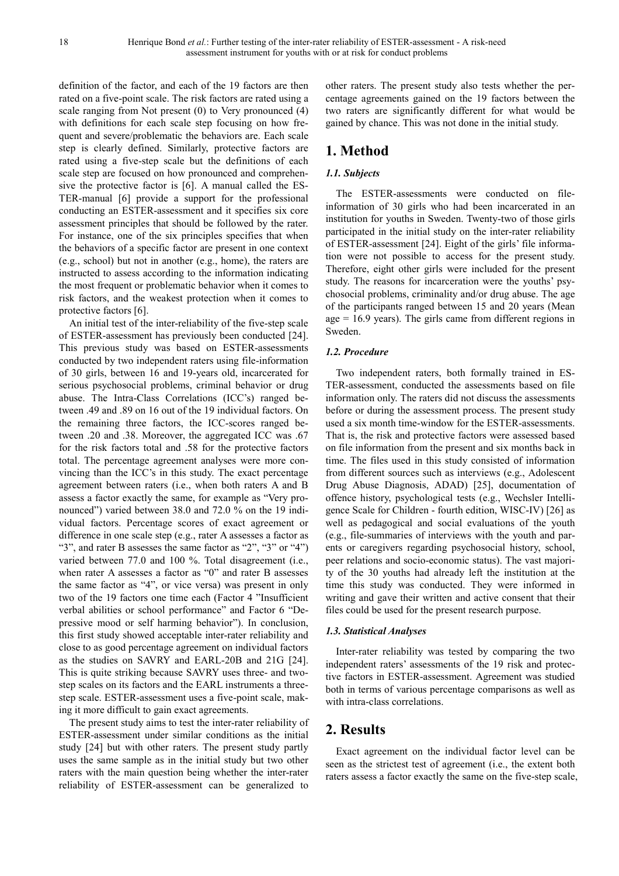definition of the factor, and each of the 19 factors are then rated on a five-point scale. The risk factors are rated using a scale ranging from Not present (0) to Very pronounced (4) with definitions for each scale step focusing on how frequent and severe/problematic the behaviors are. Each scale step is clearly defined. Similarly, protective factors are rated using a five-step scale but the definitions of each scale step are focused on how pronounced and comprehensive the protective factor is [6]. A manual called the ES-TER-manual [6] provide a support for the professional conducting an ESTER-assessment and it specifies six core assessment principles that should be followed by the rater. For instance, one of the six principles specifies that when the behaviors of a specific factor are present in one context (e.g., school) but not in another (e.g., home), the raters are instructed to assess according to the information indicating the most frequent or problematic behavior when it comes to risk factors, and the weakest protection when it comes to protective factors [6].

An initial test of the inter-reliability of the five-step scale of ESTER-assessment has previously been conducted [24]. This previous study was based on ESTER-assessments conducted by two independent raters using file-information of 30 girls, between 16 and 19-years old, incarcerated for serious psychosocial problems, criminal behavior or drug abuse. The Intra-Class Correlations (ICC's) ranged between .49 and .89 on 16 out of the 19 individual factors. On the remaining three factors, the ICC-scores ranged between .20 and .38. Moreover, the aggregated ICC was .67 for the risk factors total and .58 for the protective factors total. The percentage agreement analyses were more convincing than the ICC's in this study. The exact percentage agreement between raters (i.e., when both raters A and B assess a factor exactly the same, for example as "Very pronounced") varied between 38.0 and 72.0 % on the 19 individual factors. Percentage scores of exact agreement or difference in one scale step (e.g., rater A assesses a factor as "3", and rater B assesses the same factor as "2", "3" or "4") varied between 77.0 and 100 %. Total disagreement (i.e., when rater A assesses a factor as "0" and rater B assesses the same factor as "4", or vice versa) was present in only two of the 19 factors one time each (Factor 4 "Insufficient verbal abilities or school performance" and Factor 6 "Depressive mood or self harming behavior"). In conclusion, this first study showed acceptable inter-rater reliability and close to as good percentage agreement on individual factors as the studies on SAVRY and EARL-20B and 21G [24]. This is quite striking because SAVRY uses three- and twostep scales on its factors and the EARL instruments a threestep scale. ESTER-assessment uses a five-point scale, making it more difficult to gain exact agreements.

The present study aims to test the inter-rater reliability of ESTER-assessment under similar conditions as the initial study [24] but with other raters. The present study partly uses the same sample as in the initial study but two other raters with the main question being whether the inter-rater reliability of ESTER-assessment can be generalized to other raters. The present study also tests whether the percentage agreements gained on the 19 factors between the two raters are significantly different for what would be gained by chance. This was not done in the initial study.

# **1. Method**

#### *1.1. Subjects*

The ESTER-assessments were conducted on fileinformation of 30 girls who had been incarcerated in an institution for youths in Sweden. Twenty-two of those girls participated in the initial study on the inter-rater reliability of ESTER-assessment [24]. Eight of the girls' file information were not possible to access for the present study. Therefore, eight other girls were included for the present study. The reasons for incarceration were the youths' psychosocial problems, criminality and/or drug abuse. The age of the participants ranged between 15 and 20 years (Mean age = 16.9 years). The girls came from different regions in Sweden.

#### *1.2. Procedure*

Two independent raters, both formally trained in ES-TER-assessment, conducted the assessments based on file information only. The raters did not discuss the assessments before or during the assessment process. The present study used a six month time-window for the ESTER-assessments. That is, the risk and protective factors were assessed based on file information from the present and six months back in time. The files used in this study consisted of information from different sources such as interviews (e.g., Adolescent Drug Abuse Diagnosis, ADAD) [25], documentation of offence history, psychological tests (e.g., Wechsler Intelligence Scale for Children - fourth edition, WISC-IV) [26] as well as pedagogical and social evaluations of the youth (e.g., file-summaries of interviews with the youth and parents or caregivers regarding psychosocial history, school, peer relations and socio-economic status). The vast majority of the 30 youths had already left the institution at the time this study was conducted. They were informed in writing and gave their written and active consent that their files could be used for the present research purpose.

#### *1.3. Statistical Analyses*

Inter-rater reliability was tested by comparing the two independent raters' assessments of the 19 risk and protective factors in ESTER-assessment. Agreement was studied both in terms of various percentage comparisons as well as with intra-class correlations.

# **2. Results**

Exact agreement on the individual factor level can be seen as the strictest test of agreement (i.e., the extent both raters assess a factor exactly the same on the five-step scale,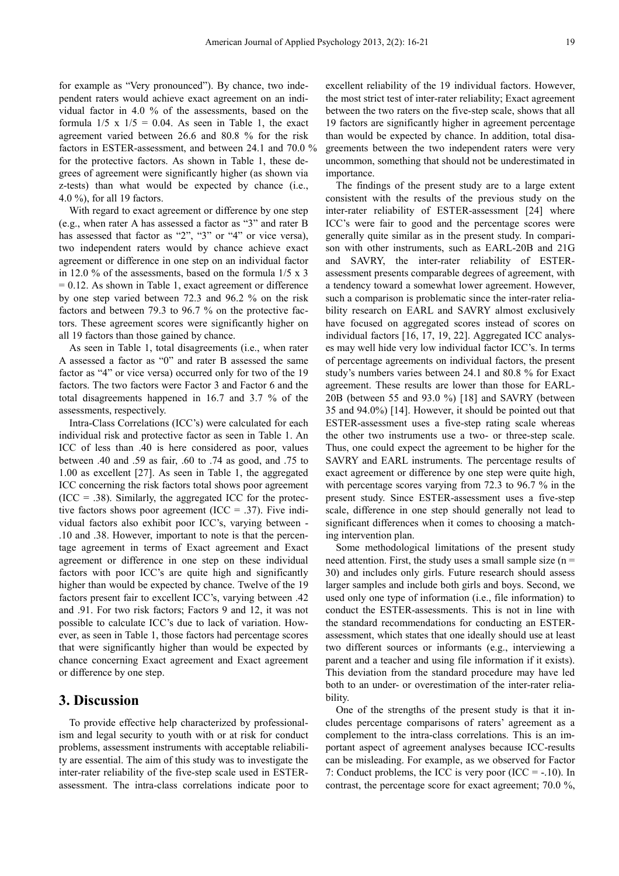for example as "Very pronounced"). By chance, two independent raters would achieve exact agreement on an individual factor in 4.0 % of the assessments, based on the formula  $1/5 \times 1/5 = 0.04$ . As seen in Table 1, the exact agreement varied between 26.6 and 80.8 % for the risk factors in ESTER-assessment, and between 24.1 and 70.0 % for the protective factors. As shown in Table 1, these degrees of agreement were significantly higher (as shown via z-tests) than what would be expected by chance (i.e., 4.0 %), for all 19 factors.

With regard to exact agreement or difference by one step (e.g., when rater A has assessed a factor as "3" and rater B has assessed that factor as "2", "3" or "4" or vice versa), two independent raters would by chance achieve exact agreement or difference in one step on an individual factor in 12.0 % of the assessments, based on the formula 1/5 x 3  $= 0.12$ . As shown in Table 1, exact agreement or difference by one step varied between 72.3 and 96.2 % on the risk factors and between 79.3 to 96.7 % on the protective factors. These agreement scores were significantly higher on all 19 factors than those gained by chance.

As seen in Table 1, total disagreements (i.e., when rater A assessed a factor as "0" and rater B assessed the same factor as "4" or vice versa) occurred only for two of the 19 factors. The two factors were Factor 3 and Factor 6 and the total disagreements happened in 16.7 and 3.7 % of the assessments, respectively.

Intra-Class Correlations (ICC's) were calculated for each individual risk and protective factor as seen in Table 1. An ICC of less than .40 is here considered as poor, values between .40 and .59 as fair, .60 to .74 as good, and .75 to 1.00 as excellent [27]. As seen in Table 1, the aggregated ICC concerning the risk factors total shows poor agreement  $(ICC = .38)$ . Similarly, the aggregated ICC for the protective factors shows poor agreement (ICC = .37). Five individual factors also exhibit poor ICC's, varying between - .10 and .38. However, important to note is that the percentage agreement in terms of Exact agreement and Exact agreement or difference in one step on these individual factors with poor ICC's are quite high and significantly higher than would be expected by chance. Twelve of the 19 factors present fair to excellent ICC's, varying between .42 and .91. For two risk factors; Factors 9 and 12, it was not possible to calculate ICC's due to lack of variation. However, as seen in Table 1, those factors had percentage scores that were significantly higher than would be expected by chance concerning Exact agreement and Exact agreement or difference by one step.

#### **3. Discussion**

To provide effective help characterized by professionalism and legal security to youth with or at risk for conduct problems, assessment instruments with acceptable reliability are essential. The aim of this study was to investigate the inter-rater reliability of the five-step scale used in ESTERassessment. The intra-class correlations indicate poor to

excellent reliability of the 19 individual factors. However, the most strict test of inter-rater reliability; Exact agreement between the two raters on the five-step scale, shows that all 19 factors are significantly higher in agreement percentage than would be expected by chance. In addition, total disagreements between the two independent raters were very uncommon, something that should not be underestimated in importance.

The findings of the present study are to a large extent consistent with the results of the previous study on the inter-rater reliability of ESTER-assessment [24] where ICC's were fair to good and the percentage scores were generally quite similar as in the present study. In comparison with other instruments, such as EARL-20B and 21G and SAVRY, the inter-rater reliability of ESTERassessment presents comparable degrees of agreement, with a tendency toward a somewhat lower agreement. However, such a comparison is problematic since the inter-rater reliability research on EARL and SAVRY almost exclusively have focused on aggregated scores instead of scores on individual factors [16, 17, 19, 22]. Aggregated ICC analyses may well hide very low individual factor ICC's. In terms of percentage agreements on individual factors, the present study's numbers varies between 24.1 and 80.8 % for Exact agreement. These results are lower than those for EARL-20B (between 55 and 93.0 %) [18] and SAVRY (between 35 and 94.0%) [14]. However, it should be pointed out that ESTER-assessment uses a five-step rating scale whereas the other two instruments use a two- or three-step scale. Thus, one could expect the agreement to be higher for the SAVRY and EARL instruments. The percentage results of exact agreement or difference by one step were quite high, with percentage scores varying from 72.3 to 96.7 % in the present study. Since ESTER-assessment uses a five-step scale, difference in one step should generally not lead to significant differences when it comes to choosing a matching intervention plan.

Some methodological limitations of the present study need attention. First, the study uses a small sample size  $(n =$ 30) and includes only girls. Future research should assess larger samples and include both girls and boys. Second, we used only one type of information (i.e., file information) to conduct the ESTER-assessments. This is not in line with the standard recommendations for conducting an ESTERassessment, which states that one ideally should use at least two different sources or informants (e.g., interviewing a parent and a teacher and using file information if it exists). This deviation from the standard procedure may have led both to an under- or overestimation of the inter-rater reliability.

One of the strengths of the present study is that it includes percentage comparisons of raters' agreement as a complement to the intra-class correlations. This is an important aspect of agreement analyses because ICC-results can be misleading. For example, as we observed for Factor 7: Conduct problems, the ICC is very poor (ICC = -.10). In contrast, the percentage score for exact agreement; 70.0 %,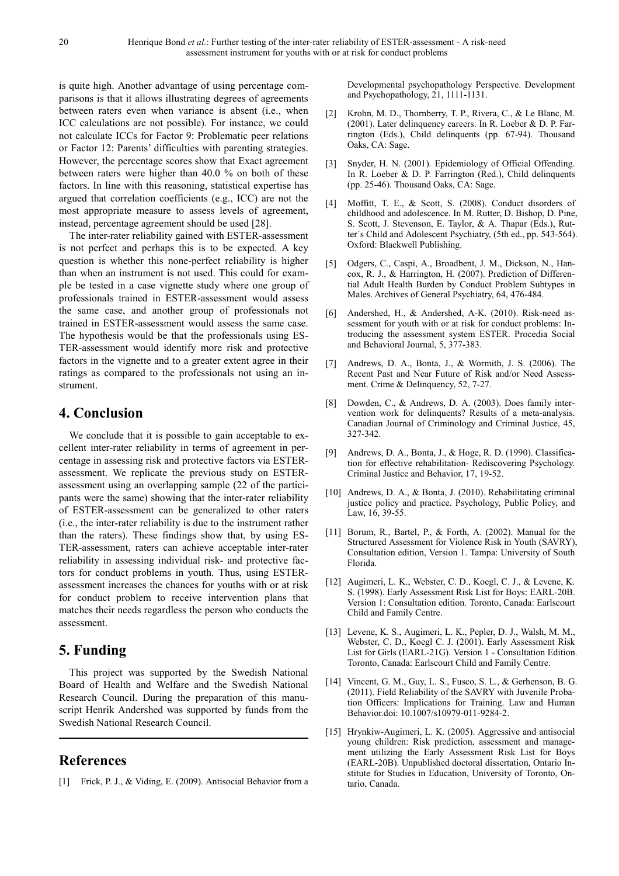is quite high. Another advantage of using percentage comparisons is that it allows illustrating degrees of agreements between raters even when variance is absent (i.e., when ICC calculations are not possible). For instance, we could not calculate ICCs for Factor 9: Problematic peer relations or Factor 12: Parents' difficulties with parenting strategies. However, the percentage scores show that Exact agreement between raters were higher than 40.0 % on both of these factors. In line with this reasoning, statistical expertise has argued that correlation coefficients (e.g., ICC) are not the most appropriate measure to assess levels of agreement, instead, percentage agreement should be used [28].

The inter-rater reliability gained with ESTER-assessment is not perfect and perhaps this is to be expected. A key question is whether this none-perfect reliability is higher than when an instrument is not used. This could for example be tested in a case vignette study where one group of professionals trained in ESTER-assessment would assess the same case, and another group of professionals not trained in ESTER-assessment would assess the same case. The hypothesis would be that the professionals using ES-TER-assessment would identify more risk and protective factors in the vignette and to a greater extent agree in their ratings as compared to the professionals not using an instrument.

# **4. Conclusion**

We conclude that it is possible to gain acceptable to excellent inter-rater reliability in terms of agreement in percentage in assessing risk and protective factors via ESTERassessment. We replicate the previous study on ESTERassessment using an overlapping sample (22 of the participants were the same) showing that the inter-rater reliability of ESTER-assessment can be generalized to other raters (i.e., the inter-rater reliability is due to the instrument rather than the raters). These findings show that, by using ES-TER-assessment, raters can achieve acceptable inter-rater reliability in assessing individual risk- and protective factors for conduct problems in youth. Thus, using ESTERassessment increases the chances for youths with or at risk for conduct problem to receive intervention plans that matches their needs regardless the person who conducts the assessment.

# **5. Funding**

This project was supported by the Swedish National Board of Health and Welfare and the Swedish National Research Council. During the preparation of this manuscript Henrik Andershed was supported by funds from the Swedish National Research Council.

# **References**

[1] Frick, P. J., & Viding, E. (2009). Antisocial Behavior from a

Developmental psychopathology Perspective. Development and Psychopathology, 21, 1111-1131.

- [2] Krohn, M. D., Thornberry, T. P., Rivera, C., & Le Blanc, M. (2001). Later delinquency careers. In R. Loeber & D. P. Farrington (Eds.), Child delinquents (pp. 67-94). Thousand Oaks, CA: Sage.
- [3] Snyder, H. N. (2001). Epidemiology of Official Offending. In R. Loeber & D. P. Farrington (Red.), Child delinquents (pp. 25-46). Thousand Oaks, CA: Sage.
- [4] Moffitt, T. E., & Scott, S. (2008). Conduct disorders of childhood and adolescence. In M. Rutter, D. Bishop, D. Pine, S. Scott, J. Stevenson, E. Taylor, & A. Thapar (Eds.), Rutter´s Child and Adolescent Psychiatry, (5th ed., pp. 543-564). Oxford: Blackwell Publishing.
- [5] Odgers, C., Caspi, A., Broadbent, J. M., Dickson, N., Hancox, R. J., & Harrington, H. (2007). Prediction of Differential Adult Health Burden by Conduct Problem Subtypes in Males. Archives of General Psychiatry, 64, 476-484.
- [6] Andershed, H., & Andershed, A-K. (2010). Risk-need assessment for youth with or at risk for conduct problems: Introducing the assessment system ESTER. Procedia Social and Behavioral Journal, 5, 377-383.
- [7] Andrews, D. A., Bonta, J., & Wormith, J. S. (2006). The Recent Past and Near Future of Risk and/or Need Assessment. Crime & Delinquency, 52, 7-27.
- [8] Dowden, C., & Andrews, D. A. (2003). Does family intervention work for delinquents? Results of a meta-analysis. Canadian Journal of Criminology and Criminal Justice, 45, 327-342.
- [9] Andrews, D. A., Bonta, J., & Hoge, R. D. (1990). Classification for effective rehabilitation- Rediscovering Psychology. Criminal Justice and Behavior, 17, 19-52.
- [10] Andrews, D. A., & Bonta, J. (2010). Rehabilitating criminal justice policy and practice. Psychology, Public Policy, and Law, 16, 39-55.
- [11] Borum, R., Bartel, P., & Forth, A. (2002). Manual for the Structured Assessment for Violence Risk in Youth (SAVRY), Consultation edition, Version 1. Tampa: University of South Florida.
- [12] Augimeri, L. K., Webster, C. D., Koegl, C. J., & Levene, K. S. (1998). Early Assessment Risk List for Boys: EARL-20B. Version 1: Consultation edition. Toronto, Canada: Earlscourt Child and Family Centre.
- [13] Levene, K. S., Augimeri, L. K., Pepler, D. J., Walsh, M. M., Webster, C. D., Koegl C. J. (2001). Early Assessment Risk List for Girls (EARL-21G). Version 1 - Consultation Edition. Toronto, Canada: Earlscourt Child and Family Centre.
- [14] Vincent, G. M., Guy, L. S., Fusco, S. L., & Gerhenson, B. G. (2011). Field Reliability of the SAVRY with Juvenile Probation Officers: Implications for Training. Law and Human Behavior.doi: 10.1007/s10979-011-9284-2.
- [15] Hrynkiw-Augimeri, L. K. (2005). Aggressive and antisocial young children: Risk prediction, assessment and management utilizing the Early Assessment Risk List for Boys (EARL-20B). Unpublished doctoral dissertation, Ontario Institute for Studies in Education, University of Toronto, Ontario, Canada.